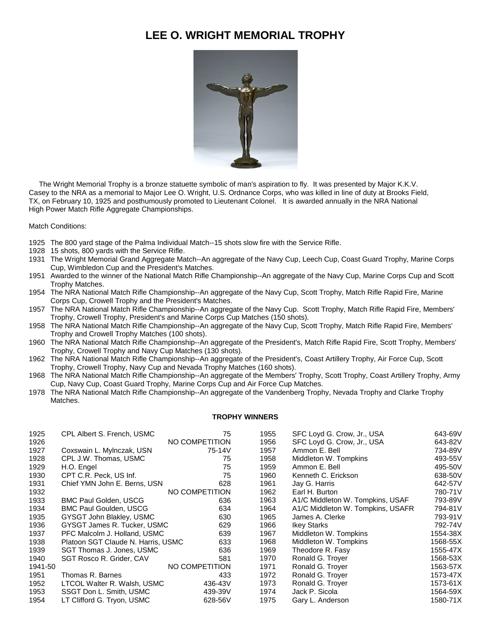## **LEE O. WRIGHT MEMORIAL TROPHY**



 The Wright Memorial Trophy is a bronze statuette symbolic of man's aspiration to fly. It was presented by Major K.K.V. Casey to the NRA as a memorial to Major Lee O. Wright, U.S. Ordnance Corps, who was killed in line of duty at Brooks Field, TX, on February 10, 1925 and posthumously promoted to Lieutenant Colonel. It is awarded annually in the NRA National High Power Match Rifle Aggregate Championships.

Match Conditions:

- The 800 yard stage of the Palma Individual Match--15 shots slow fire with the Service Rifle.
- 15 shots, 800 yards with the Service Rifle.
- The Wright Memorial Grand Aggregate Match--An aggregate of the Navy Cup, Leech Cup, Coast Guard Trophy, Marine Corps Cup, Wimbledon Cup and the President's Matches.
- Awarded to the winner of the National Match Rifle Championship--An aggregate of the Navy Cup, Marine Corps Cup and Scott Trophy Matches.
- The NRA National Match Rifle Championship--An aggregate of the Navy Cup, Scott Trophy, Match Rifle Rapid Fire, Marine Corps Cup, Crowell Trophy and the President's Matches.
- The NRA National Match Rifle Championship--An aggregate of the Navy Cup. Scott Trophy, Match Rifle Rapid Fire, Members' Trophy, Crowell Trophy, President's and Marine Corps Cup Matches (150 shots).
- The NRA National Match Rifle Championship--An aggregate of the Navy Cup, Scott Trophy, Match Rifle Rapid Fire, Members' Trophy and Crowell Trophy Matches (100 shots).
- The NRA National Match Rifle Championship--An aggregate of the President's, Match Rifle Rapid Fire, Scott Trophy, Members' Trophy, Crowell Trophy and Navy Cup Matches (130 shots).
- The NRA National Match Rifle Championship--An aggregate of the President's, Coast Artillery Trophy, Air Force Cup, Scott Trophy, Crowell Trophy, Navy Cup and Nevada Trophy Matches (160 shots).
- The NRA National Match Rifle Championship--An aggregate of the Members' Trophy, Scott Trophy, Coast Artillery Trophy, Army Cup, Navy Cup, Coast Guard Trophy, Marine Corps Cup and Air Force Cup Matches.
- The NRA National Match Rifle Championship--An aggregate of the Vandenberg Trophy, Nevada Trophy and Clarke Trophy Matches.

## **TROPHY WINNERS**

| 1925    | CPL Albert S. French, USMC         | 75             | 1955 | SFC Loyd G. Crow, Jr., USA        | 643-69V  |
|---------|------------------------------------|----------------|------|-----------------------------------|----------|
| 1926    |                                    | NO COMPETITION | 1956 | SFC Loyd G. Crow, Jr., USA        | 643-82V  |
| 1927    | Coxswain L. Mylnczak, USN          | 75-14V         | 1957 | Ammon E. Bell                     | 734-89V  |
| 1928    | CPL J.W. Thomas, USMC              | 75             | 1958 | Middleton W. Tompkins             | 493-55V  |
| 1929    | H.O. Engel                         | 75             | 1959 | Ammon E. Bell                     | 495-50V  |
| 1930    | CPT C.R. Peck, US Inf.             | 75             | 1960 | Kenneth C. Erickson               | 638-50V  |
| 1931    | Chief YMN John E. Berns, USN       | 628            | 1961 | Jay G. Harris                     | 642-57V  |
| 1932    |                                    | NO COMPETITION | 1962 | Earl H. Burton                    | 780-71V  |
| 1933    | <b>BMC Paul Golden, USCG</b>       | 636            | 1963 | A1/C Middleton W. Tompkins, USAF  | 793-89V  |
| 1934    | <b>BMC Paul Goulden, USCG</b>      | 634            | 1964 | A1/C Middleton W. Tompkins, USAFR | 794-81V  |
| 1935    | GYSGT John Blakley, USMC           | 630            | 1965 | James A. Clerke                   | 793-91V  |
| 1936    | GYSGT James R. Tucker, USMC        | 629            | 1966 | <b>Ikey Starks</b>                | 792-74V  |
| 1937    | PFC Malcolm J. Holland, USMC       | 639            | 1967 | Middleton W. Tompkins             | 1554-38X |
| 1938    | Platoon SGT Claude N. Harris, USMC | 633            | 1968 | Middleton W. Tompkins             | 1568-55X |
| 1939    | SGT Thomas J. Jones, USMC          | 636            | 1969 | Theodore R. Fasy                  | 1555-47X |
| 1940    | SGT Rosco R. Grider, CAV           | 581            | 1970 | Ronald G. Troyer                  | 1568-53X |
| 1941-50 | NO COMPETITION                     |                | 1971 | Ronald G. Troyer                  | 1563-57X |
| 1951    | Thomas R. Barnes                   | 433            | 1972 | Ronald G. Troyer                  | 1573-47X |
| 1952    | LTCOL Walter R. Walsh, USMC        | 436-43V        | 1973 | Ronald G. Troyer                  | 1573-61X |
| 1953    | SSGT Don L. Smith, USMC            | 439-39V        | 1974 | Jack P. Sicola                    | 1564-59X |
| 1954    | LT Clifford G. Tryon, USMC         | 628-56V        | 1975 | Gary L. Anderson                  | 1580-71X |